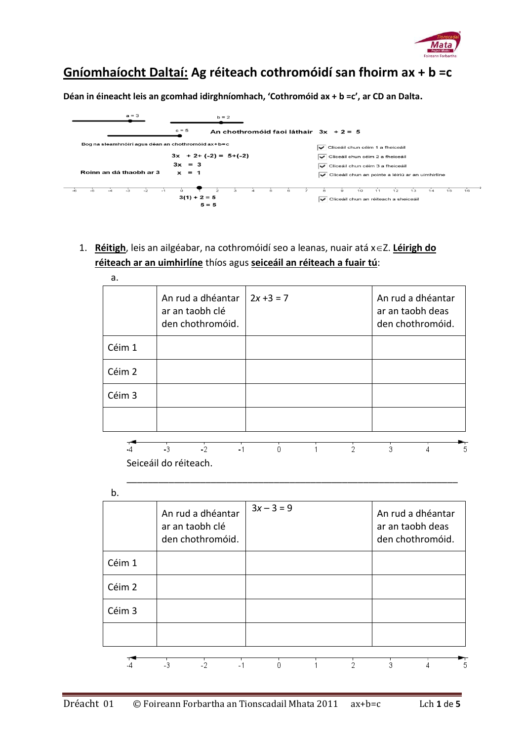

## **Gníomhaíocht Daltaí: Ag réiteach cothromóidí san fhoirm ax + b =c**

**Déan in éineacht leis an gcomhad idirghníomhach, 'Cothromóid ax + b =c', ar CD an Dalta.**



1. **Réitigh**, leis an ailgéabar, na cothromóidí seo a leanas, nuair atá x 
ightar **Léirigh do réiteach ar an uimhirlíne** thíos agus **seiceáil an réiteach a fuair tú**:

| a.     |                                                          |              |                                                           |
|--------|----------------------------------------------------------|--------------|-----------------------------------------------------------|
|        | An rud a dhéantar<br>ar an taobh clé<br>den chothromóid. | $2x + 3 = 7$ | An rud a dhéantar<br>ar an taobh deas<br>den chothromóid. |
| Céim 1 |                                                          |              |                                                           |
| Céim 2 |                                                          |              |                                                           |
| Céim 3 |                                                          |              |                                                           |
|        |                                                          |              |                                                           |
|        | $-3$<br>$-2$<br>$-1$                                     | 0            | 3<br>5<br>4                                               |
|        | Seiceáil do réiteach.                                    |              |                                                           |

\_\_\_\_\_\_\_\_\_\_\_\_\_\_\_\_\_\_\_\_\_\_\_\_\_\_\_\_\_\_\_\_\_\_\_\_\_\_\_\_\_\_\_\_\_\_\_\_\_\_\_\_\_\_\_\_\_\_\_\_\_\_\_



|        | An rud a dhéantar<br>ar an taobh clé<br>den chothromóid. | $3x - 3 = 9$ |   | An rud a dhéantar<br>ar an taobh deas<br>den chothromóid. |
|--------|----------------------------------------------------------|--------------|---|-----------------------------------------------------------|
| Céim 1 |                                                          |              |   |                                                           |
| Céim 2 |                                                          |              |   |                                                           |
| Céim 3 |                                                          |              |   |                                                           |
|        |                                                          |              |   |                                                           |
|        | $-3$<br>$-2$<br>$-1$                                     | n            | 2 | 3<br>4<br>5                                               |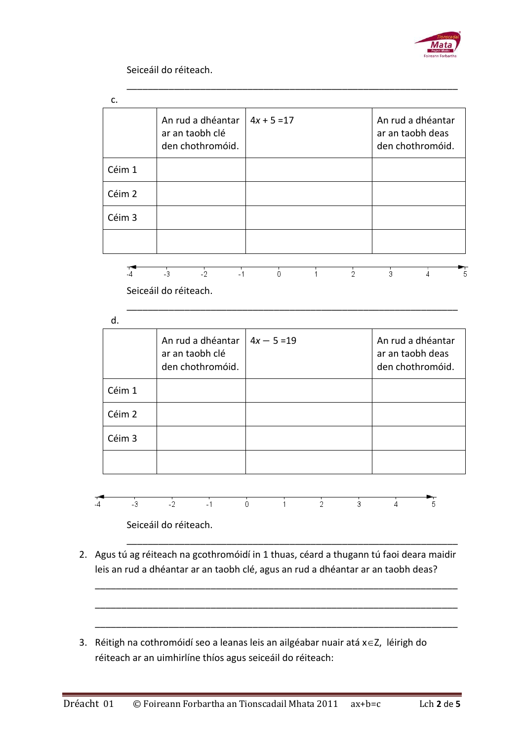

Seiceáil do réiteach.

|                            | ar an taobh clé<br>den chothromóid. | An rud a dhéantar     | $4x + 5 = 17$ |               |               |                | An rud a dhéantar<br>ar an taobh deas<br>den chothromóid. |
|----------------------------|-------------------------------------|-----------------------|---------------|---------------|---------------|----------------|-----------------------------------------------------------|
| Céim 1                     |                                     |                       |               |               |               |                |                                                           |
| Céim 2                     |                                     |                       |               |               |               |                |                                                           |
| Céim 3                     |                                     |                       |               |               |               |                |                                                           |
|                            |                                     |                       |               |               |               |                |                                                           |
| $\sqrt{4}$                 | $\frac{1}{3}$                       | $-1$<br>$\frac{1}{2}$ | ō             | 1             | $\frac{1}{2}$ | $\frac{1}{3}$  | $\frac{1}{4}$                                             |
|                            | Seiceáil do réiteach.               |                       |               |               |               |                |                                                           |
| d.                         |                                     |                       |               |               |               |                |                                                           |
|                            | ar an taobh clé<br>den chothromóid. | An rud a dhéantar     | $4x - 5 = 19$ |               |               |                | An rud a dhéantar<br>ar an taobh deas<br>den chothromóid. |
|                            |                                     |                       |               |               |               |                |                                                           |
|                            |                                     |                       |               |               |               |                |                                                           |
|                            |                                     |                       |               |               |               |                |                                                           |
| Céim 1<br>Céim 2<br>Céim 3 |                                     |                       |               |               |               |                |                                                           |
| $-3$                       | $-2$                                | $-1$                  | ò<br>1        | $\frac{1}{2}$ | $\frac{1}{3}$ | $\overline{4}$ | 5                                                         |

2. Agus tú ag réiteach na gcothromóidí in 1 thuas, céard a thugann tú faoi deara maidir leis an rud a dhéantar ar an taobh clé, agus an rud a dhéantar ar an taobh deas?

\_\_\_\_\_\_\_\_\_\_\_\_\_\_\_\_\_\_\_\_\_\_\_\_\_\_\_\_\_\_\_\_\_\_\_\_\_\_\_\_\_\_\_\_\_\_\_\_\_\_\_\_\_\_\_\_\_\_\_\_\_\_\_\_\_\_\_\_\_

\_\_\_\_\_\_\_\_\_\_\_\_\_\_\_\_\_\_\_\_\_\_\_\_\_\_\_\_\_\_\_\_\_\_\_\_\_\_\_\_\_\_\_\_\_\_\_\_\_\_\_\_\_\_\_\_\_\_\_\_\_\_\_\_\_\_\_\_\_

\_\_\_\_\_\_\_\_\_\_\_\_\_\_\_\_\_\_\_\_\_\_\_\_\_\_\_\_\_\_\_\_\_\_\_\_\_\_\_\_\_\_\_\_\_\_\_\_\_\_\_\_\_\_\_\_\_\_\_\_\_\_\_\_\_\_\_\_\_

3. Réitigh na cothromóidí seo a leanas leis an ailgéabar nuair atá  $x \in Z$ , léirigh do réiteach ar an uimhirlíne thíos agus seiceáil do réiteach: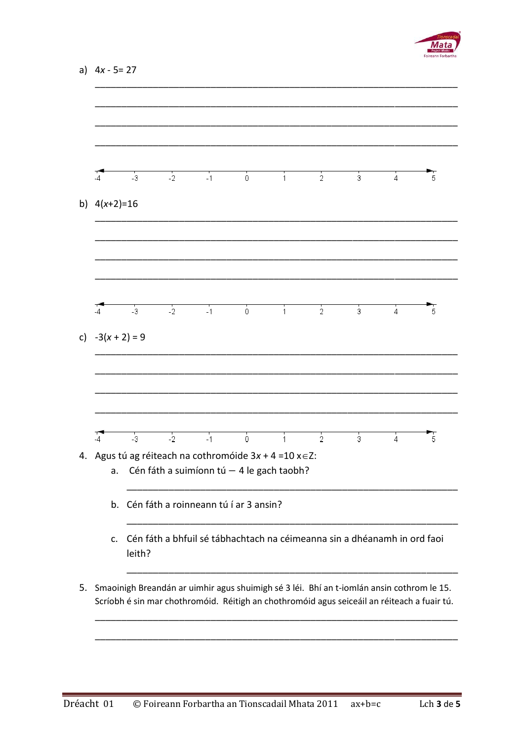

| $\overline{4}$     | $-3$                                                                               | $-2$ | $-1$                                                                                                            | Ò | $\ddot{1}$   | $\frac{1}{2}$  | 3              | $\ddot{4}$     | 5 |
|--------------------|------------------------------------------------------------------------------------|------|-----------------------------------------------------------------------------------------------------------------|---|--------------|----------------|----------------|----------------|---|
| b) $4(x+2)=16$     |                                                                                    |      |                                                                                                                 |   |              |                |                |                |   |
|                    |                                                                                    |      |                                                                                                                 |   |              |                |                |                |   |
| -4                 | $-3$                                                                               | $-2$ | $-1$                                                                                                            | 0 | $\mathbf{1}$ | $\frac{1}{2}$  | 3              | 4              | 5 |
| c) $-3(x + 2) = 9$ |                                                                                    |      |                                                                                                                 |   |              |                |                |                |   |
|                    |                                                                                    |      |                                                                                                                 |   |              |                |                |                |   |
|                    |                                                                                    |      |                                                                                                                 |   |              |                |                |                |   |
| $\sqrt{4}$         | $-3$                                                                               | $-2$ | $-1$                                                                                                            | Ò | $\mathbf{1}$ | $\overline{2}$ | $\overline{3}$ | $\overline{4}$ | 5 |
| a.                 |                                                                                    |      | Agus tú ag réiteach na cothromóide $3x + 4 = 10x \in \mathbb{Z}$ :<br>Cén fáth a suimíonn tú - 4 le gach taobh? |   |              |                |                |                |   |
|                    | b. Cén fáth a roinneann tú í ar 3 ansin?                                           |      |                                                                                                                 |   |              |                |                |                |   |
| c.                 | Cén fáth a bhfuil sé tábhachtach na céimeanna sin a dhéanamh in ord faoi<br>leith? |      |                                                                                                                 |   |              |                |                |                |   |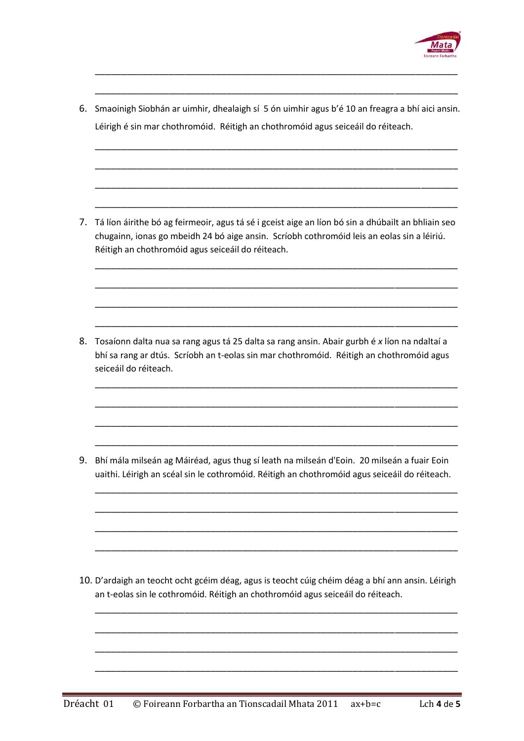

6. Smaoinigh Siobhán ar uimhir, dhealaigh sí 5 ón uimhir agus b'é 10 an freagra a bhí aici ansin. Léirigh é sin mar chothromóid. Réitigh an chothromóid agus seiceáil do réiteach.

\_\_\_\_\_\_\_\_\_\_\_\_\_\_\_\_\_\_\_\_\_\_\_\_\_\_\_\_\_\_\_\_\_\_\_\_\_\_\_\_\_\_\_\_\_\_\_\_\_\_\_\_\_\_\_\_\_\_\_\_\_\_\_\_\_\_\_\_\_

\_\_\_\_\_\_\_\_\_\_\_\_\_\_\_\_\_\_\_\_\_\_\_\_\_\_\_\_\_\_\_\_\_\_\_\_\_\_\_\_\_\_\_\_\_\_\_\_\_\_\_\_\_\_\_\_\_\_\_\_\_\_\_\_\_\_\_\_\_

\_\_\_\_\_\_\_\_\_\_\_\_\_\_\_\_\_\_\_\_\_\_\_\_\_\_\_\_\_\_\_\_\_\_\_\_\_\_\_\_\_\_\_\_\_\_\_\_\_\_\_\_\_\_\_\_\_\_\_\_\_\_\_\_\_\_\_\_\_

\_\_\_\_\_\_\_\_\_\_\_\_\_\_\_\_\_\_\_\_\_\_\_\_\_\_\_\_\_\_\_\_\_\_\_\_\_\_\_\_\_\_\_\_\_\_\_\_\_\_\_\_\_\_\_\_\_\_\_\_\_\_\_\_\_\_\_\_\_

\_\_\_\_\_\_\_\_\_\_\_\_\_\_\_\_\_\_\_\_\_\_\_\_\_\_\_\_\_\_\_\_\_\_\_\_\_\_\_\_\_\_\_\_\_\_\_\_\_\_\_\_\_\_\_\_\_\_\_\_\_\_\_\_\_\_\_\_\_

\_\_\_\_\_\_\_\_\_\_\_\_\_\_\_\_\_\_\_\_\_\_\_\_\_\_\_\_\_\_\_\_\_\_\_\_\_\_\_\_\_\_\_\_\_\_\_\_\_\_\_\_\_\_\_\_\_\_\_\_\_\_\_\_\_\_\_\_\_

\_\_\_\_\_\_\_\_\_\_\_\_\_\_\_\_\_\_\_\_\_\_\_\_\_\_\_\_\_\_\_\_\_\_\_\_\_\_\_\_\_\_\_\_\_\_\_\_\_\_\_\_\_\_\_\_\_\_\_\_\_\_\_\_\_\_\_\_\_

\_\_\_\_\_\_\_\_\_\_\_\_\_\_\_\_\_\_\_\_\_\_\_\_\_\_\_\_\_\_\_\_\_\_\_\_\_\_\_\_\_\_\_\_\_\_\_\_\_\_\_\_\_\_\_\_\_\_\_\_\_\_\_\_\_\_\_\_\_

\_\_\_\_\_\_\_\_\_\_\_\_\_\_\_\_\_\_\_\_\_\_\_\_\_\_\_\_\_\_\_\_\_\_\_\_\_\_\_\_\_\_\_\_\_\_\_\_\_\_\_\_\_\_\_\_\_\_\_\_\_\_\_\_\_\_\_\_\_

\_\_\_\_\_\_\_\_\_\_\_\_\_\_\_\_\_\_\_\_\_\_\_\_\_\_\_\_\_\_\_\_\_\_\_\_\_\_\_\_\_\_\_\_\_\_\_\_\_\_\_\_\_\_\_\_\_\_\_\_\_\_\_\_\_\_\_\_\_

\_\_\_\_\_\_\_\_\_\_\_\_\_\_\_\_\_\_\_\_\_\_\_\_\_\_\_\_\_\_\_\_\_\_\_\_\_\_\_\_\_\_\_\_\_\_\_\_\_\_\_\_\_\_\_\_\_\_\_\_\_\_\_\_\_\_\_\_\_

\_\_\_\_\_\_\_\_\_\_\_\_\_\_\_\_\_\_\_\_\_\_\_\_\_\_\_\_\_\_\_\_\_\_\_\_\_\_\_\_\_\_\_\_\_\_\_\_\_\_\_\_\_\_\_\_\_\_\_\_\_\_\_\_\_\_\_\_\_

\_\_\_\_\_\_\_\_\_\_\_\_\_\_\_\_\_\_\_\_\_\_\_\_\_\_\_\_\_\_\_\_\_\_\_\_\_\_\_\_\_\_\_\_\_\_\_\_\_\_\_\_\_\_\_\_\_\_\_\_\_\_\_\_\_\_\_\_\_

\_\_\_\_\_\_\_\_\_\_\_\_\_\_\_\_\_\_\_\_\_\_\_\_\_\_\_\_\_\_\_\_\_\_\_\_\_\_\_\_\_\_\_\_\_\_\_\_\_\_\_\_\_\_\_\_\_\_\_\_\_\_\_\_\_\_\_\_\_

\_\_\_\_\_\_\_\_\_\_\_\_\_\_\_\_\_\_\_\_\_\_\_\_\_\_\_\_\_\_\_\_\_\_\_\_\_\_\_\_\_\_\_\_\_\_\_\_\_\_\_\_\_\_\_\_\_\_\_\_\_\_\_\_\_\_\_\_\_

\_\_\_\_\_\_\_\_\_\_\_\_\_\_\_\_\_\_\_\_\_\_\_\_\_\_\_\_\_\_\_\_\_\_\_\_\_\_\_\_\_\_\_\_\_\_\_\_\_\_\_\_\_\_\_\_\_\_\_\_\_\_\_\_\_\_\_\_\_

\_\_\_\_\_\_\_\_\_\_\_\_\_\_\_\_\_\_\_\_\_\_\_\_\_\_\_\_\_\_\_\_\_\_\_\_\_\_\_\_\_\_\_\_\_\_\_\_\_\_\_\_\_\_\_\_\_\_\_\_\_\_\_\_\_\_\_\_\_

\_\_\_\_\_\_\_\_\_\_\_\_\_\_\_\_\_\_\_\_\_\_\_\_\_\_\_\_\_\_\_\_\_\_\_\_\_\_\_\_\_\_\_\_\_\_\_\_\_\_\_\_\_\_\_\_\_\_\_\_\_\_\_\_\_\_\_\_\_

\_\_\_\_\_\_\_\_\_\_\_\_\_\_\_\_\_\_\_\_\_\_\_\_\_\_\_\_\_\_\_\_\_\_\_\_\_\_\_\_\_\_\_\_\_\_\_\_\_\_\_\_\_\_\_\_\_\_\_\_\_\_\_\_\_\_\_\_\_

\_\_\_\_\_\_\_\_\_\_\_\_\_\_\_\_\_\_\_\_\_\_\_\_\_\_\_\_\_\_\_\_\_\_\_\_\_\_\_\_\_\_\_\_\_\_\_\_\_\_\_\_\_\_\_\_\_\_\_\_\_\_\_\_\_\_\_\_\_

\_\_\_\_\_\_\_\_\_\_\_\_\_\_\_\_\_\_\_\_\_\_\_\_\_\_\_\_\_\_\_\_\_\_\_\_\_\_\_\_\_\_\_\_\_\_\_\_\_\_\_\_\_\_\_\_\_\_\_\_\_\_\_\_\_\_\_\_\_

\_\_\_\_\_\_\_\_\_\_\_\_\_\_\_\_\_\_\_\_\_\_\_\_\_\_\_\_\_\_\_\_\_\_\_\_\_\_\_\_\_\_\_\_\_\_\_\_\_\_\_\_\_\_\_\_\_\_\_\_\_\_\_\_\_\_\_\_\_

7. Tá líon áirithe bó ag feirmeoir, agus tá sé i gceist aige an líon bó sin a dhúbailt an bhliain seo chugainn, ionas go mbeidh 24 bó aige ansin. Scríobh cothromóid leis an eolas sin a léiriú. Réitigh an chothromóid agus seiceáil do réiteach.

8. Tosaíonn dalta nua sa rang agus tá 25 dalta sa rang ansin. Abair gurbh é *x* líon na ndaltaí a bhí sa rang ar dtús. Scríobh an t-eolas sin mar chothromóid. Réitigh an chothromóid agus seiceáil do réiteach.

9. Bhí mála milseán ag Máiréad, agus thug sí leath na milseán d'Eoin. 20 milseán a fuair Eoin uaithi. Léirigh an scéal sin le cothromóid. Réitigh an chothromóid agus seiceáil do réiteach.

10. D'ardaigh an teocht ocht gcéim déag, agus is teocht cúig chéim déag a bhí ann ansin. Léirigh an t-eolas sin le cothromóid. Réitigh an chothromóid agus seiceáil do réiteach.